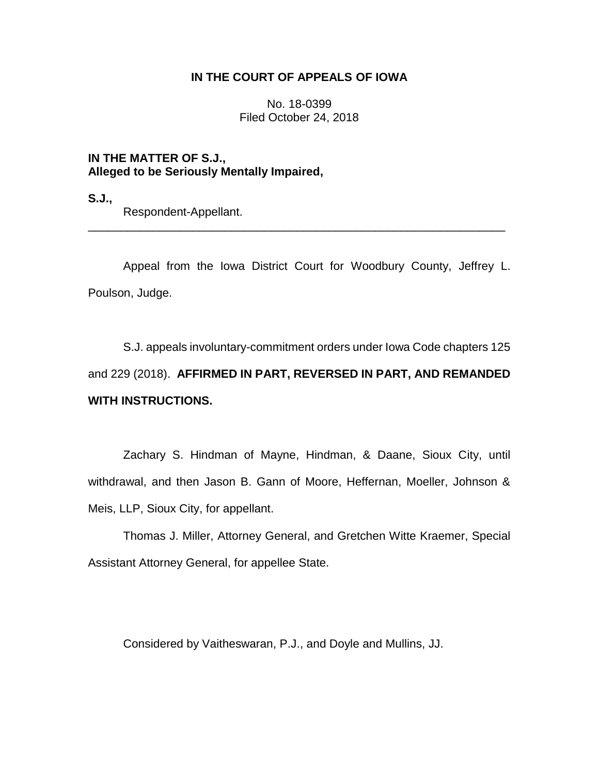# **IN THE COURT OF APPEALS OF IOWA**

No. 18-0399 Filed October 24, 2018

**IN THE MATTER OF S.J., Alleged to be Seriously Mentally Impaired,**

**S.J.,**

Respondent-Appellant.

Appeal from the Iowa District Court for Woodbury County, Jeffrey L. Poulson, Judge.

\_\_\_\_\_\_\_\_\_\_\_\_\_\_\_\_\_\_\_\_\_\_\_\_\_\_\_\_\_\_\_\_\_\_\_\_\_\_\_\_\_\_\_\_\_\_\_\_\_\_\_\_\_\_\_\_\_\_\_\_\_\_\_\_

S.J. appeals involuntary-commitment orders under Iowa Code chapters 125 and 229 (2018). **AFFIRMED IN PART, REVERSED IN PART, AND REMANDED WITH INSTRUCTIONS.** 

Zachary S. Hindman of Mayne, Hindman, & Daane, Sioux City, until withdrawal, and then Jason B. Gann of Moore, Heffernan, Moeller, Johnson & Meis, LLP, Sioux City, for appellant.

Thomas J. Miller, Attorney General, and Gretchen Witte Kraemer, Special Assistant Attorney General, for appellee State.

Considered by Vaitheswaran, P.J., and Doyle and Mullins, JJ.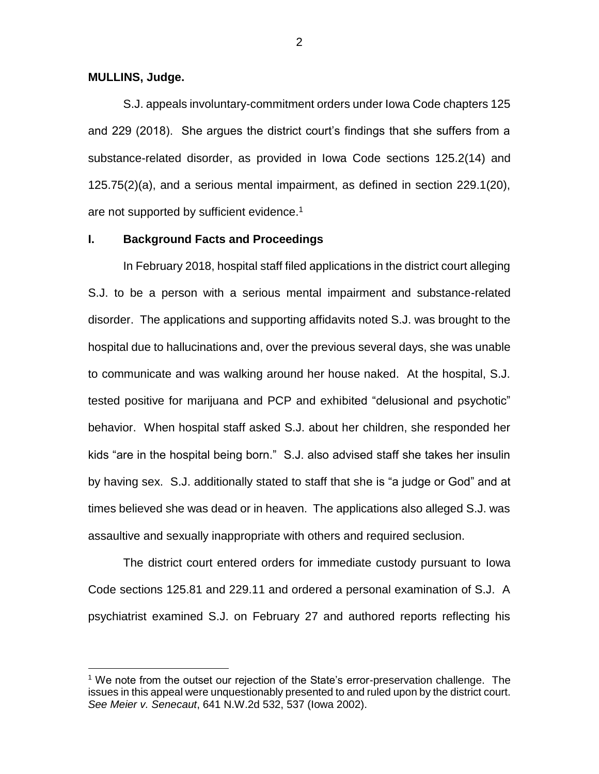**MULLINS, Judge.**

 $\overline{a}$ 

S.J. appeals involuntary-commitment orders under Iowa Code chapters 125 and 229 (2018). She argues the district court's findings that she suffers from a substance-related disorder, as provided in Iowa Code sections 125.2(14) and 125.75(2)(a), and a serious mental impairment, as defined in section 229.1(20), are not supported by sufficient evidence.<sup>1</sup>

#### **I. Background Facts and Proceedings**

In February 2018, hospital staff filed applications in the district court alleging S.J. to be a person with a serious mental impairment and substance-related disorder. The applications and supporting affidavits noted S.J. was brought to the hospital due to hallucinations and, over the previous several days, she was unable to communicate and was walking around her house naked. At the hospital, S.J. tested positive for marijuana and PCP and exhibited "delusional and psychotic" behavior. When hospital staff asked S.J. about her children, she responded her kids "are in the hospital being born." S.J. also advised staff she takes her insulin by having sex. S.J. additionally stated to staff that she is "a judge or God" and at times believed she was dead or in heaven. The applications also alleged S.J. was assaultive and sexually inappropriate with others and required seclusion.

The district court entered orders for immediate custody pursuant to Iowa Code sections 125.81 and 229.11 and ordered a personal examination of S.J. A psychiatrist examined S.J. on February 27 and authored reports reflecting his

2

<sup>1</sup> We note from the outset our rejection of the State's error-preservation challenge. The issues in this appeal were unquestionably presented to and ruled upon by the district court. *See Meier v. Senecaut*, 641 N.W.2d 532, 537 (Iowa 2002).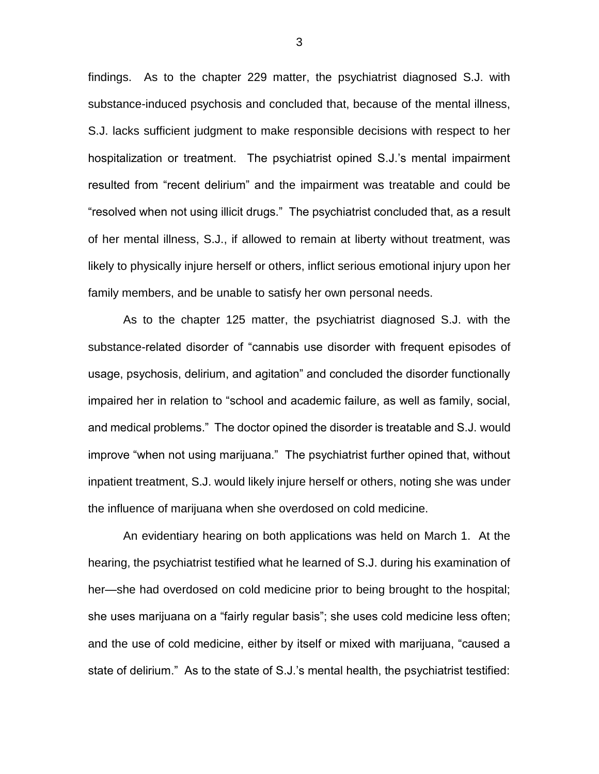findings. As to the chapter 229 matter, the psychiatrist diagnosed S.J. with substance-induced psychosis and concluded that, because of the mental illness, S.J. lacks sufficient judgment to make responsible decisions with respect to her hospitalization or treatment. The psychiatrist opined S.J.'s mental impairment resulted from "recent delirium" and the impairment was treatable and could be "resolved when not using illicit drugs." The psychiatrist concluded that, as a result of her mental illness, S.J., if allowed to remain at liberty without treatment, was likely to physically injure herself or others, inflict serious emotional injury upon her family members, and be unable to satisfy her own personal needs.

As to the chapter 125 matter, the psychiatrist diagnosed S.J. with the substance-related disorder of "cannabis use disorder with frequent episodes of usage, psychosis, delirium, and agitation" and concluded the disorder functionally impaired her in relation to "school and academic failure, as well as family, social, and medical problems." The doctor opined the disorder is treatable and S.J. would improve "when not using marijuana." The psychiatrist further opined that, without inpatient treatment, S.J. would likely injure herself or others, noting she was under the influence of marijuana when she overdosed on cold medicine.

An evidentiary hearing on both applications was held on March 1. At the hearing, the psychiatrist testified what he learned of S.J. during his examination of her—she had overdosed on cold medicine prior to being brought to the hospital; she uses marijuana on a "fairly regular basis"; she uses cold medicine less often; and the use of cold medicine, either by itself or mixed with marijuana, "caused a state of delirium." As to the state of S.J.'s mental health, the psychiatrist testified:

3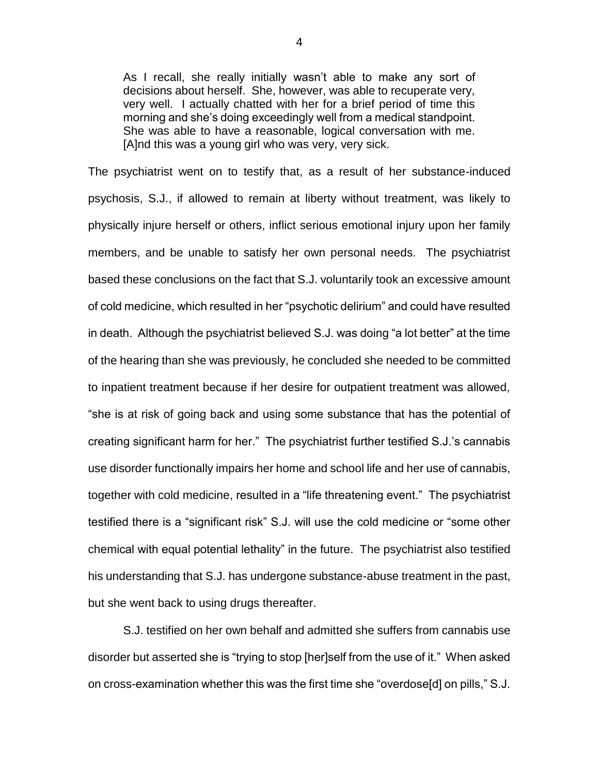As I recall, she really initially wasn't able to make any sort of decisions about herself. She, however, was able to recuperate very, very well. I actually chatted with her for a brief period of time this morning and she's doing exceedingly well from a medical standpoint. She was able to have a reasonable, logical conversation with me. [A]nd this was a young girl who was very, very sick.

The psychiatrist went on to testify that, as a result of her substance-induced psychosis, S.J., if allowed to remain at liberty without treatment, was likely to physically injure herself or others, inflict serious emotional injury upon her family members, and be unable to satisfy her own personal needs. The psychiatrist based these conclusions on the fact that S.J. voluntarily took an excessive amount of cold medicine, which resulted in her "psychotic delirium" and could have resulted in death. Although the psychiatrist believed S.J. was doing "a lot better" at the time of the hearing than she was previously, he concluded she needed to be committed to inpatient treatment because if her desire for outpatient treatment was allowed, "she is at risk of going back and using some substance that has the potential of creating significant harm for her." The psychiatrist further testified S.J.'s cannabis use disorder functionally impairs her home and school life and her use of cannabis, together with cold medicine, resulted in a "life threatening event." The psychiatrist testified there is a "significant risk" S.J. will use the cold medicine or "some other chemical with equal potential lethality" in the future. The psychiatrist also testified his understanding that S.J. has undergone substance-abuse treatment in the past, but she went back to using drugs thereafter.

S.J. testified on her own behalf and admitted she suffers from cannabis use disorder but asserted she is "trying to stop [her]self from the use of it." When asked on cross-examination whether this was the first time she "overdose[d] on pills," S.J.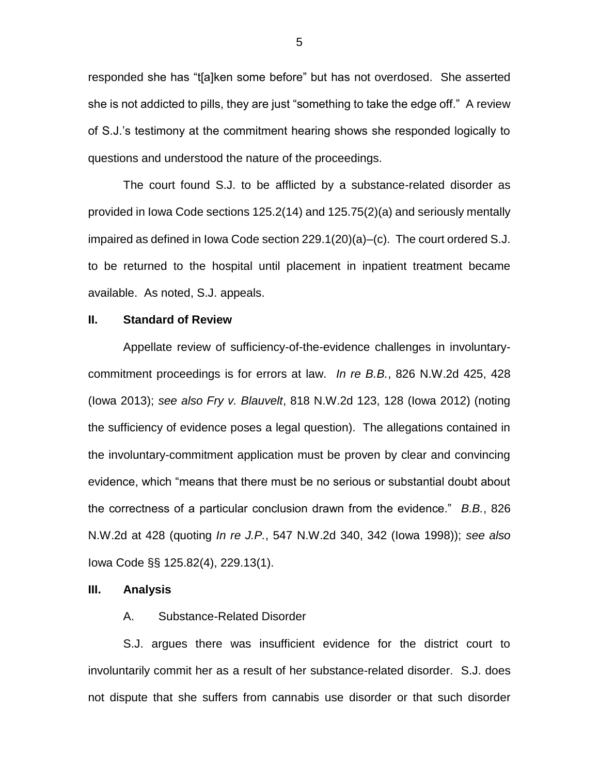responded she has "t[a]ken some before" but has not overdosed. She asserted she is not addicted to pills, they are just "something to take the edge off." A review of S.J.'s testimony at the commitment hearing shows she responded logically to questions and understood the nature of the proceedings.

The court found S.J. to be afflicted by a substance-related disorder as provided in Iowa Code sections 125.2(14) and 125.75(2)(a) and seriously mentally impaired as defined in Iowa Code section 229.1(20)(a)–(c). The court ordered S.J. to be returned to the hospital until placement in inpatient treatment became available. As noted, S.J. appeals.

## **II. Standard of Review**

Appellate review of sufficiency-of-the-evidence challenges in involuntarycommitment proceedings is for errors at law. *In re B.B.*, 826 N.W.2d 425, 428 (Iowa 2013); *see also Fry v. Blauvelt*, 818 N.W.2d 123, 128 (Iowa 2012) (noting the sufficiency of evidence poses a legal question). The allegations contained in the involuntary-commitment application must be proven by clear and convincing evidence, which "means that there must be no serious or substantial doubt about the correctness of a particular conclusion drawn from the evidence." *B.B.*, 826 N.W.2d at 428 (quoting *In re J.P.*, 547 N.W.2d 340, 342 (Iowa 1998)); *see also* Iowa Code §§ 125.82(4), 229.13(1).

#### **III. Analysis**

#### A. Substance-Related Disorder

S.J. argues there was insufficient evidence for the district court to involuntarily commit her as a result of her substance-related disorder. S.J. does not dispute that she suffers from cannabis use disorder or that such disorder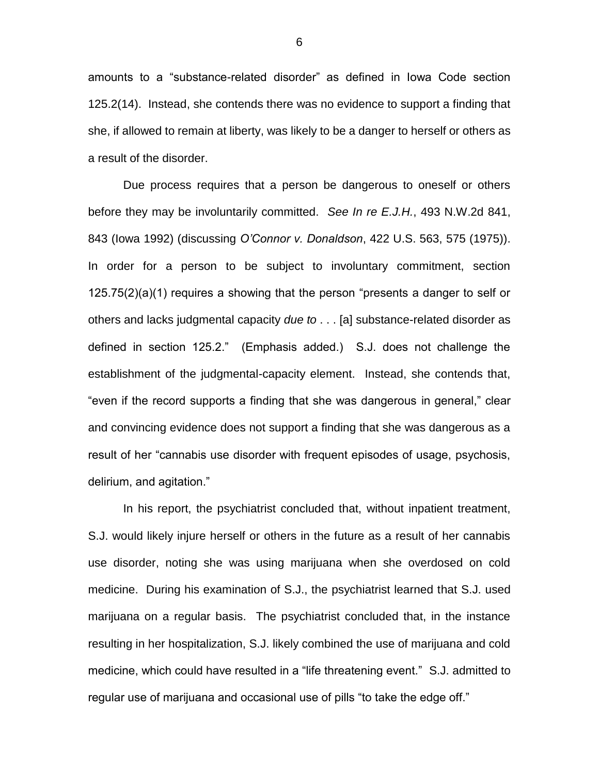amounts to a "substance-related disorder" as defined in Iowa Code section 125.2(14). Instead, she contends there was no evidence to support a finding that she, if allowed to remain at liberty, was likely to be a danger to herself or others as a result of the disorder.

Due process requires that a person be dangerous to oneself or others before they may be involuntarily committed. *See In re E.J.H.*, 493 N.W.2d 841, 843 (Iowa 1992) (discussing *O'Connor v. Donaldson*, 422 U.S. 563, 575 (1975)). In order for a person to be subject to involuntary commitment, section 125.75(2)(a)(1) requires a showing that the person "presents a danger to self or others and lacks judgmental capacity *due to* . . . [a] substance-related disorder as defined in section 125.2." (Emphasis added.) S.J. does not challenge the establishment of the judgmental-capacity element. Instead, she contends that, "even if the record supports a finding that she was dangerous in general," clear and convincing evidence does not support a finding that she was dangerous as a result of her "cannabis use disorder with frequent episodes of usage, psychosis, delirium, and agitation."

In his report, the psychiatrist concluded that, without inpatient treatment, S.J. would likely injure herself or others in the future as a result of her cannabis use disorder, noting she was using marijuana when she overdosed on cold medicine. During his examination of S.J., the psychiatrist learned that S.J. used marijuana on a regular basis. The psychiatrist concluded that, in the instance resulting in her hospitalization, S.J. likely combined the use of marijuana and cold medicine, which could have resulted in a "life threatening event." S.J. admitted to regular use of marijuana and occasional use of pills "to take the edge off."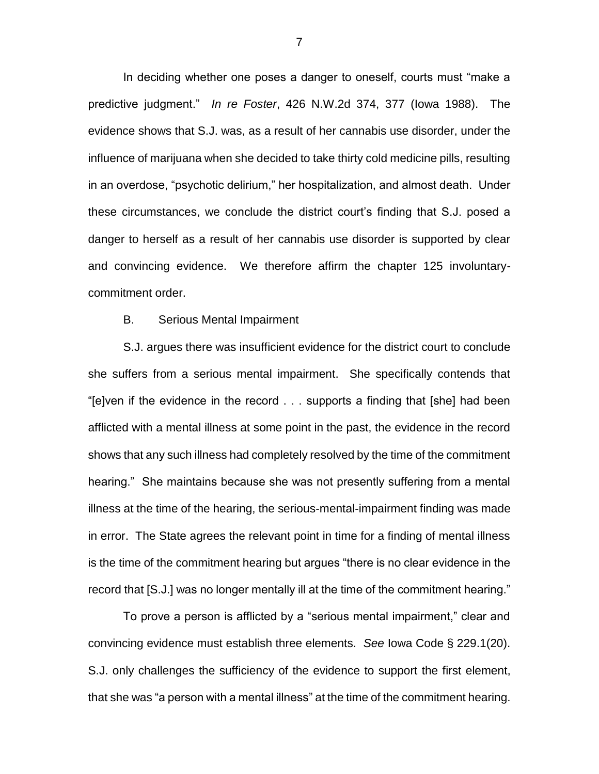In deciding whether one poses a danger to oneself, courts must "make a predictive judgment." *In re Foster*, 426 N.W.2d 374, 377 (Iowa 1988). The evidence shows that S.J. was, as a result of her cannabis use disorder, under the influence of marijuana when she decided to take thirty cold medicine pills, resulting in an overdose, "psychotic delirium," her hospitalization, and almost death. Under these circumstances, we conclude the district court's finding that S.J. posed a danger to herself as a result of her cannabis use disorder is supported by clear and convincing evidence. We therefore affirm the chapter 125 involuntarycommitment order.

### B. Serious Mental Impairment

S.J. argues there was insufficient evidence for the district court to conclude she suffers from a serious mental impairment. She specifically contends that "[e]ven if the evidence in the record . . . supports a finding that [she] had been afflicted with a mental illness at some point in the past, the evidence in the record shows that any such illness had completely resolved by the time of the commitment hearing." She maintains because she was not presently suffering from a mental illness at the time of the hearing, the serious-mental-impairment finding was made in error. The State agrees the relevant point in time for a finding of mental illness is the time of the commitment hearing but argues "there is no clear evidence in the record that [S.J.] was no longer mentally ill at the time of the commitment hearing."

To prove a person is afflicted by a "serious mental impairment," clear and convincing evidence must establish three elements. *See* Iowa Code § 229.1(20). S.J. only challenges the sufficiency of the evidence to support the first element, that she was "a person with a mental illness" at the time of the commitment hearing.

7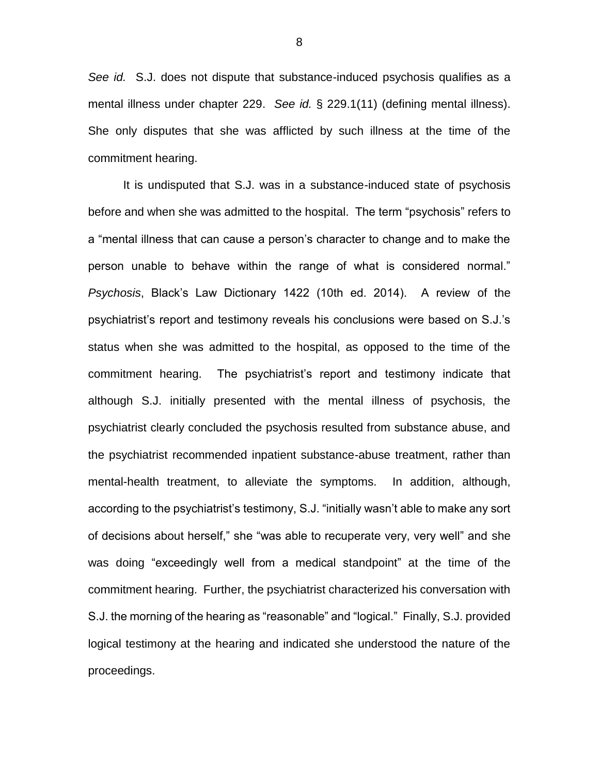*See id.* S.J. does not dispute that substance-induced psychosis qualifies as a mental illness under chapter 229. *See id.* § 229.1(11) (defining mental illness). She only disputes that she was afflicted by such illness at the time of the commitment hearing.

It is undisputed that S.J. was in a substance-induced state of psychosis before and when she was admitted to the hospital. The term "psychosis" refers to a "mental illness that can cause a person's character to change and to make the person unable to behave within the range of what is considered normal." *Psychosis*, Black's Law Dictionary 1422 (10th ed. 2014). A review of the psychiatrist's report and testimony reveals his conclusions were based on S.J.'s status when she was admitted to the hospital, as opposed to the time of the commitment hearing. The psychiatrist's report and testimony indicate that although S.J. initially presented with the mental illness of psychosis, the psychiatrist clearly concluded the psychosis resulted from substance abuse, and the psychiatrist recommended inpatient substance-abuse treatment, rather than mental-health treatment, to alleviate the symptoms. In addition, although, according to the psychiatrist's testimony, S.J. "initially wasn't able to make any sort of decisions about herself," she "was able to recuperate very, very well" and she was doing "exceedingly well from a medical standpoint" at the time of the commitment hearing. Further, the psychiatrist characterized his conversation with S.J. the morning of the hearing as "reasonable" and "logical." Finally, S.J. provided logical testimony at the hearing and indicated she understood the nature of the proceedings.